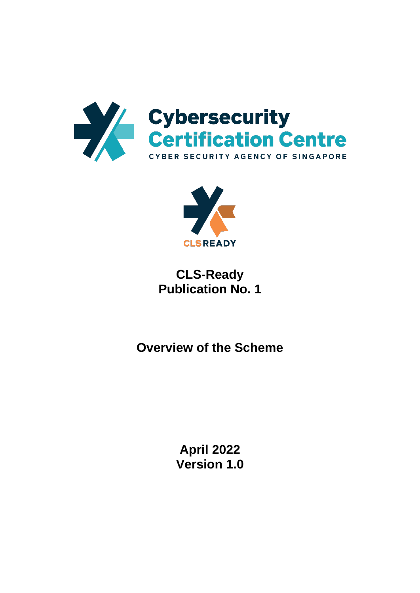



**CLS-Ready Publication No. 1**

**Overview of the Scheme**

**April 2022 Version 1.0**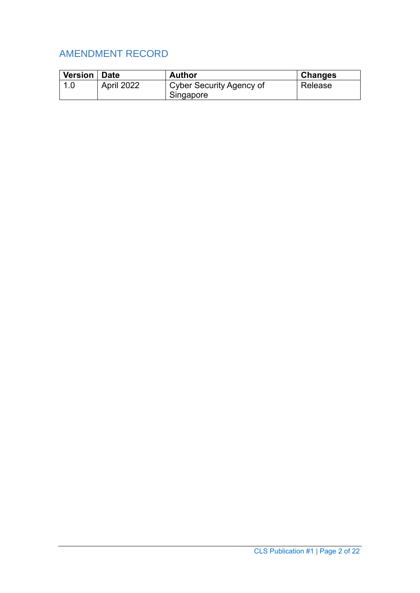# AMENDMENT RECORD

| <b>Version</b> | <b>Date</b> | <b>Author</b>            | <b>Changes</b> |
|----------------|-------------|--------------------------|----------------|
|                | April 2022  | Cyber Security Agency of | Release        |
|                |             | Singapore                |                |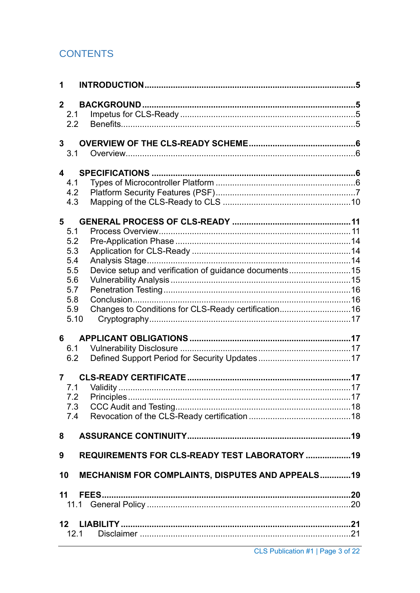# **CONTENTS**

| 1                                                             |  |
|---------------------------------------------------------------|--|
| $\mathbf{2}$                                                  |  |
| 2.1                                                           |  |
| 2.2                                                           |  |
|                                                               |  |
| 3 <sup>1</sup>                                                |  |
| 3.1                                                           |  |
| $\overline{\mathbf{4}}$                                       |  |
| 4.1                                                           |  |
| 4.2                                                           |  |
| 4.3                                                           |  |
|                                                               |  |
| 5                                                             |  |
| 5.1<br>5.2                                                    |  |
| 5.3                                                           |  |
| 5.4                                                           |  |
| Device setup and verification of guidance documents15<br>5.5  |  |
| 5.6                                                           |  |
| 5.7                                                           |  |
| 5.8                                                           |  |
| Changes to Conditions for CLS-Ready certification 16<br>5.9   |  |
| 5.10                                                          |  |
| 6                                                             |  |
| 6.1                                                           |  |
| 6.2                                                           |  |
|                                                               |  |
| $\overline{7}$                                                |  |
| 7.1<br>7.2                                                    |  |
| 7.3                                                           |  |
| 7.4                                                           |  |
|                                                               |  |
| 8                                                             |  |
| REQUIREMENTS FOR CLS-READY TEST LABORATORY  19<br>9           |  |
| <b>MECHANISM FOR COMPLAINTS, DISPUTES AND APPEALS19</b><br>10 |  |
| 11                                                            |  |
|                                                               |  |
|                                                               |  |
| 12 <sup>1</sup>                                               |  |
| 12.1                                                          |  |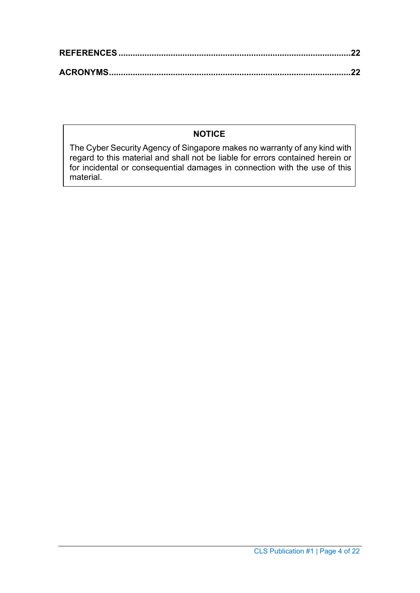### **NOTICE**

The Cyber Security Agency of Singapore makes no warranty of any kind with regard to this material and shall not be liable for errors contained herein or for incidental or consequential damages in connection with the use of this material.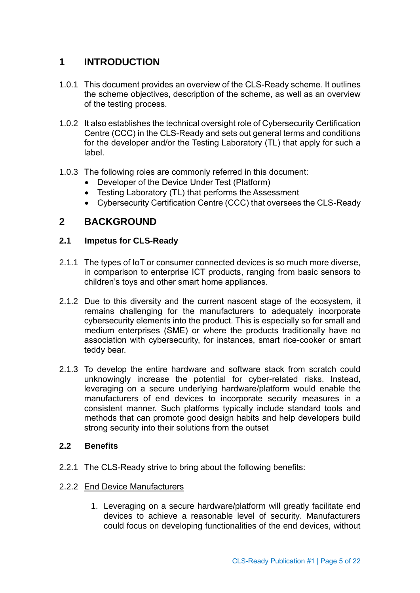# <span id="page-4-0"></span>**1 INTRODUCTION**

- 1.0.1 This document provides an overview of the CLS-Ready scheme. It outlines the scheme objectives, description of the scheme, as well as an overview of the testing process.
- 1.0.2 It also establishes the technical oversight role of Cybersecurity Certification Centre (CCC) in the CLS-Ready and sets out general terms and conditions for the developer and/or the Testing Laboratory (TL) that apply for such a label.
- 1.0.3 The following roles are commonly referred in this document:
	- Developer of the Device Under Test (Platform)
	- Testing Laboratory (TL) that performs the Assessment
	- Cybersecurity Certification Centre (CCC) that oversees the CLS-Ready

### <span id="page-4-1"></span>**2 BACKGROUND**

#### <span id="page-4-2"></span>**2.1 Impetus for CLS-Ready**

- 2.1.1 The types of IoT or consumer connected devices is so much more diverse, in comparison to enterprise ICT products, ranging from basic sensors to children's toys and other smart home appliances.
- 2.1.2 Due to this diversity and the current nascent stage of the ecosystem, it remains challenging for the manufacturers to adequately incorporate cybersecurity elements into the product. This is especially so for small and medium enterprises (SME) or where the products traditionally have no association with cybersecurity, for instances, smart rice-cooker or smart teddy bear.
- 2.1.3 To develop the entire hardware and software stack from scratch could unknowingly increase the potential for cyber-related risks. Instead, leveraging on a secure underlying hardware/platform would enable the manufacturers of end devices to incorporate security measures in a consistent manner. Such platforms typically include standard tools and methods that can promote good design habits and help developers build strong security into their solutions from the outset

#### <span id="page-4-3"></span>**2.2 Benefits**

- 2.2.1 The CLS-Ready strive to bring about the following benefits:
- 2.2.2 End Device Manufacturers
	- 1. Leveraging on a secure hardware/platform will greatly facilitate end devices to achieve a reasonable level of security. Manufacturers could focus on developing functionalities of the end devices, without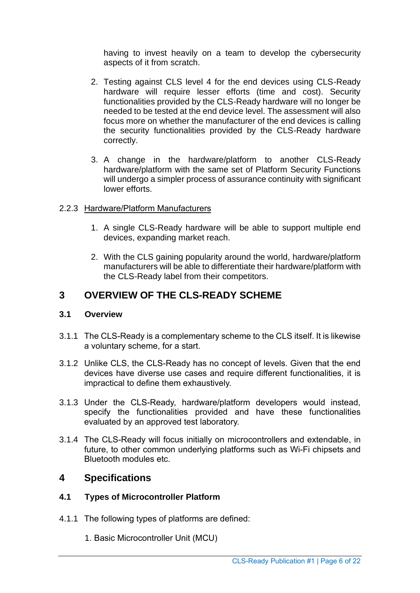having to invest heavily on a team to develop the cybersecurity aspects of it from scratch.

- 2. Testing against CLS level 4 for the end devices using CLS-Ready hardware will require lesser efforts (time and cost). Security functionalities provided by the CLS-Ready hardware will no longer be needed to be tested at the end device level. The assessment will also focus more on whether the manufacturer of the end devices is calling the security functionalities provided by the CLS-Ready hardware correctly.
- 3. A change in the hardware/platform to another CLS-Ready hardware/platform with the same set of Platform Security Functions will undergo a simpler process of assurance continuity with significant lower efforts.

#### 2.2.3 Hardware/Platform Manufacturers

- 1. A single CLS-Ready hardware will be able to support multiple end devices, expanding market reach.
- 2. With the CLS gaining popularity around the world, hardware/platform manufacturers will be able to differentiate their hardware/platform with the CLS-Ready label from their competitors.

### <span id="page-5-0"></span>**3 OVERVIEW OF THE CLS-READY SCHEME**

#### <span id="page-5-1"></span>**3.1 Overview**

- 3.1.1 The CLS-Ready is a complementary scheme to the CLS itself. It is likewise a voluntary scheme, for a start.
- 3.1.2 Unlike CLS, the CLS-Ready has no concept of levels. Given that the end devices have diverse use cases and require different functionalities, it is impractical to define them exhaustively.
- 3.1.3 Under the CLS-Ready, hardware/platform developers would instead, specify the functionalities provided and have these functionalities evaluated by an approved test laboratory.
- 3.1.4 The CLS-Ready will focus initially on microcontrollers and extendable, in future, to other common underlying platforms such as Wi-Fi chipsets and Bluetooth modules etc.

### <span id="page-5-2"></span>**4 Specifications**

#### <span id="page-5-3"></span>**4.1 Types of Microcontroller Platform**

- 4.1.1 The following types of platforms are defined:
	- 1. Basic Microcontroller Unit (MCU)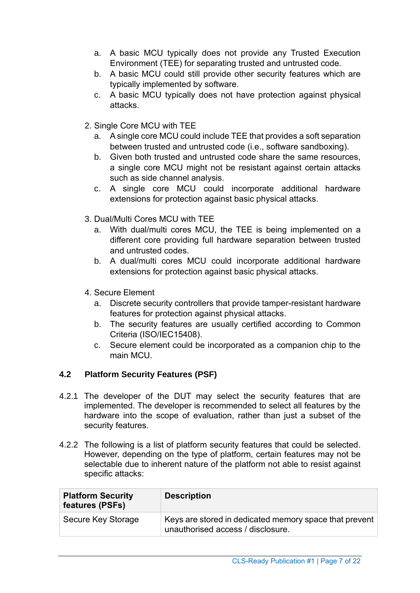- a. A basic MCU typically does not provide any Trusted Execution Environment (TEE) for separating trusted and untrusted code.
- b. A basic MCU could still provide other security features which are typically implemented by software.
- c. A basic MCU typically does not have protection against physical attacks.
- 2. Single Core MCU with TEE
	- a. A single core MCU could include TEE that provides a soft separation between trusted and untrusted code (i.e., software sandboxing).
	- b. Given both trusted and untrusted code share the same resources, a single core MCU might not be resistant against certain attacks such as side channel analysis.
	- c. A single core MCU could incorporate additional hardware extensions for protection against basic physical attacks.
- 3. Dual/Multi Cores MCU with TEE
	- a. With dual/multi cores MCU, the TEE is being implemented on a different core providing full hardware separation between trusted and untrusted codes.
	- b. A dual/multi cores MCU could incorporate additional hardware extensions for protection against basic physical attacks.
- 4. Secure Element
	- a. Discrete security controllers that provide tamper-resistant hardware features for protection against physical attacks.
	- b. The security features are usually certified according to Common Criteria (ISO/IEC15408).
	- c. Secure element could be incorporated as a companion chip to the main MCU.

### <span id="page-6-0"></span>**4.2 Platform Security Features (PSF)**

- 4.2.1 The developer of the DUT may select the security features that are implemented. The developer is recommended to select all features by the hardware into the scope of evaluation, rather than just a subset of the security features.
- 4.2.2 The following is a list of platform security features that could be selected. However, depending on the type of platform, certain features may not be selectable due to inherent nature of the platform not able to resist against specific attacks:

| <b>Platform Security</b><br>features (PSFs) | <b>Description</b>                                                                          |
|---------------------------------------------|---------------------------------------------------------------------------------------------|
| Secure Key Storage                          | Keys are stored in dedicated memory space that prevent<br>unauthorised access / disclosure. |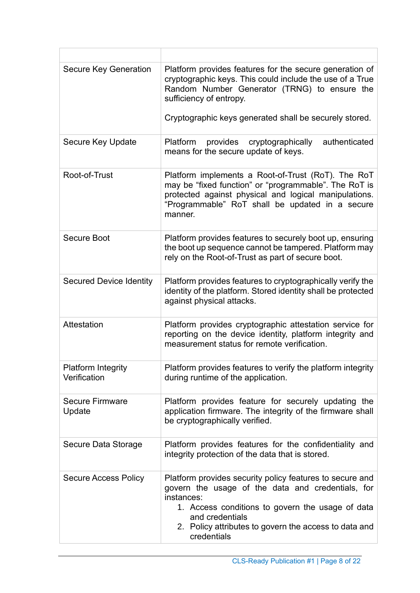| <b>Secure Key Generation</b>              | Platform provides features for the secure generation of<br>cryptographic keys. This could include the use of a True<br>Random Number Generator (TRNG) to ensure the<br>sufficiency of entropy.<br>Cryptographic keys generated shall be securely stored.                   |
|-------------------------------------------|----------------------------------------------------------------------------------------------------------------------------------------------------------------------------------------------------------------------------------------------------------------------------|
| Secure Key Update                         | Platform provides cryptographically<br>authenticated<br>means for the secure update of keys.                                                                                                                                                                               |
| Root-of-Trust                             | Platform implements a Root-of-Trust (RoT). The RoT<br>may be "fixed function" or "programmable". The RoT is<br>protected against physical and logical manipulations.<br>"Programmable" RoT shall be updated in a secure<br>manner.                                         |
| <b>Secure Boot</b>                        | Platform provides features to securely boot up, ensuring<br>the boot up sequence cannot be tampered. Platform may<br>rely on the Root-of-Trust as part of secure boot.                                                                                                     |
| <b>Secured Device Identity</b>            | Platform provides features to cryptographically verify the<br>identity of the platform. Stored identity shall be protected<br>against physical attacks.                                                                                                                    |
| Attestation                               | Platform provides cryptographic attestation service for<br>reporting on the device identity, platform integrity and<br>measurement status for remote verification.                                                                                                         |
| <b>Platform Integrity</b><br>Verification | Platform provides features to verify the platform integrity<br>during runtime of the application.                                                                                                                                                                          |
| <b>Secure Firmware</b><br>Update          | Platform provides feature for securely updating the<br>application firmware. The integrity of the firmware shall<br>be cryptographically verified.                                                                                                                         |
| Secure Data Storage                       | Platform provides features for the confidentiality and<br>integrity protection of the data that is stored.                                                                                                                                                                 |
| <b>Secure Access Policy</b>               | Platform provides security policy features to secure and<br>govern the usage of the data and credentials, for<br>instances:<br>1. Access conditions to govern the usage of data<br>and credentials<br>2. Policy attributes to govern the access to data and<br>credentials |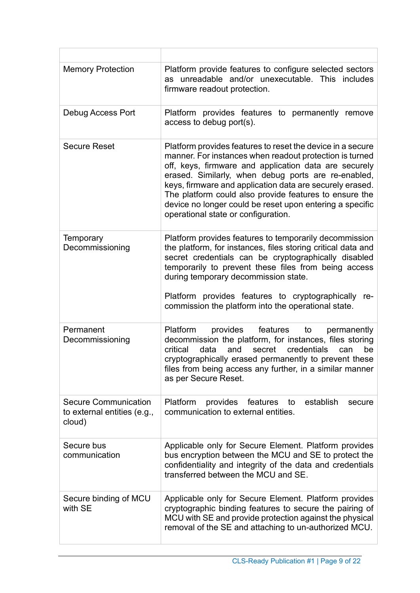| <b>Memory Protection</b>                                             | Platform provide features to configure selected sectors<br>as unreadable and/or unexecutable. This includes<br>firmware readout protection.                                                                                                                                                                                                                                                                                                                    |
|----------------------------------------------------------------------|----------------------------------------------------------------------------------------------------------------------------------------------------------------------------------------------------------------------------------------------------------------------------------------------------------------------------------------------------------------------------------------------------------------------------------------------------------------|
| Debug Access Port                                                    | Platform provides features to permanently remove<br>access to debug port(s).                                                                                                                                                                                                                                                                                                                                                                                   |
| <b>Secure Reset</b>                                                  | Platform provides features to reset the device in a secure<br>manner. For instances when readout protection is turned<br>off, keys, firmware and application data are securely<br>erased. Similarly, when debug ports are re-enabled,<br>keys, firmware and application data are securely erased.<br>The platform could also provide features to ensure the<br>device no longer could be reset upon entering a specific<br>operational state or configuration. |
| Temporary<br>Decommissioning                                         | Platform provides features to temporarily decommission<br>the platform, for instances, files storing critical data and<br>secret credentials can be cryptographically disabled<br>temporarily to prevent these files from being access<br>during temporary decommission state.<br>Platform provides features to cryptographically re-<br>commission the platform into the operational state.                                                                   |
| Permanent<br>Decommissioning                                         | Platform<br>provides<br>features<br>to<br>permanently<br>decommission the platform, for instances, files storing<br>secret credentials<br>critical<br>data<br>and<br>be<br>can<br>cryptographically erased permanently to prevent these<br>files from being access any further, in a similar manner<br>as per Secure Reset.                                                                                                                                    |
| <b>Secure Communication</b><br>to external entities (e.g.,<br>cloud) | Platform<br>establish<br>provides<br>features<br>to<br>secure<br>communication to external entities.                                                                                                                                                                                                                                                                                                                                                           |
| Secure bus<br>communication                                          | Applicable only for Secure Element. Platform provides<br>bus encryption between the MCU and SE to protect the<br>confidentiality and integrity of the data and credentials<br>transferred between the MCU and SE.                                                                                                                                                                                                                                              |
| Secure binding of MCU<br>with SE                                     | Applicable only for Secure Element. Platform provides<br>cryptographic binding features to secure the pairing of<br>MCU with SE and provide protection against the physical<br>removal of the SE and attaching to un-authorized MCU.                                                                                                                                                                                                                           |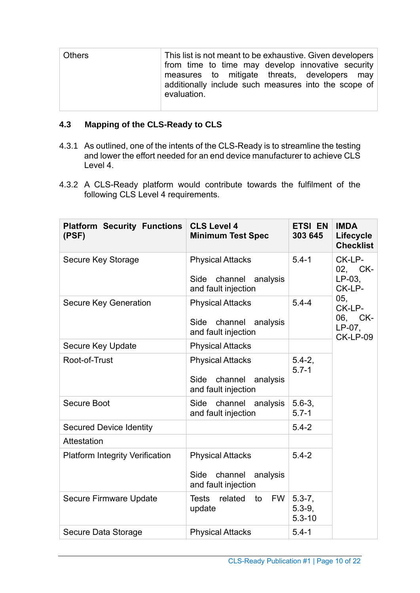| Others | This list is not meant to be exhaustive. Given developers<br>from time to time may develop innovative security<br>measures to mitigate threats, developers may<br>additionally include such measures into the scope of<br>evaluation. |
|--------|---------------------------------------------------------------------------------------------------------------------------------------------------------------------------------------------------------------------------------------|
|        |                                                                                                                                                                                                                                       |

### <span id="page-9-0"></span>**4.3 Mapping of the CLS-Ready to CLS**

- 4.3.1 As outlined, one of the intents of the CLS-Ready is to streamline the testing and lower the effort needed for an end device manufacturer to achieve CLS Level 4.
- 4.3.2 A CLS-Ready platform would contribute towards the fulfilment of the following CLS Level 4 requirements.

| <b>Platform Security Functions</b><br>(PSF) | <b>CLS Level 4</b><br><b>Minimum Test Spec</b>                                | <b>ETSI EN</b><br>303 645              | <b>IMDA</b><br>Lifecycle<br><b>Checklist</b>             |  |
|---------------------------------------------|-------------------------------------------------------------------------------|----------------------------------------|----------------------------------------------------------|--|
| Secure Key Storage                          | <b>Physical Attacks</b><br>Side<br>channel<br>analysis<br>and fault injection | $5.4 - 1$                              | CK-LP-<br>02, CK-<br>$LP-03$ .<br>CK-LP-                 |  |
| <b>Secure Key Generation</b>                | <b>Physical Attacks</b><br>channel<br>analysis<br>Side<br>and fault injection | $5.4 - 4$                              | 05,<br>CK-LP-<br>06, CK-<br>$LP-07$ ,<br><b>CK-LP-09</b> |  |
| Secure Key Update                           | <b>Physical Attacks</b>                                                       |                                        |                                                          |  |
| Root-of-Trust                               | <b>Physical Attacks</b><br>Side channel<br>analysis<br>and fault injection    | $5.4 - 2$ ,<br>$5.7 - 1$               |                                                          |  |
| <b>Secure Boot</b>                          | Side channel analysis<br>and fault injection                                  | $5.6 - 3,$<br>$5.7 - 1$                |                                                          |  |
| <b>Secured Device Identity</b>              |                                                                               | $5.4 - 2$                              |                                                          |  |
| Attestation                                 |                                                                               |                                        |                                                          |  |
| <b>Platform Integrity Verification</b>      | <b>Physical Attacks</b><br>channel<br>analysis<br>Side<br>and fault injection | $5.4 - 2$                              |                                                          |  |
| <b>Secure Firmware Update</b>               | related to<br><b>Tests</b><br><b>FW</b><br>update                             | $5.3 - 7,$<br>$5.3 - 9,$<br>$5.3 - 10$ |                                                          |  |
| Secure Data Storage                         | <b>Physical Attacks</b>                                                       | $5.4 - 1$                              |                                                          |  |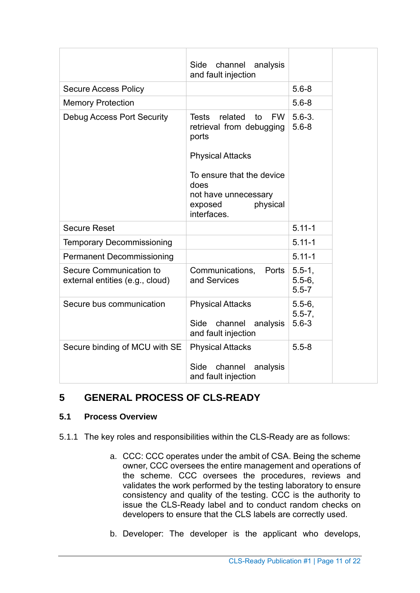|                                                            | Side<br>channel<br>analysis<br>and fault injection                                                                                                                                                            |                                         |
|------------------------------------------------------------|---------------------------------------------------------------------------------------------------------------------------------------------------------------------------------------------------------------|-----------------------------------------|
| <b>Secure Access Policy</b>                                |                                                                                                                                                                                                               | $5.6 - 8$                               |
| <b>Memory Protection</b>                                   |                                                                                                                                                                                                               | $5.6 - 8$                               |
| <b>Debug Access Port Security</b>                          | related<br><b>Tests</b><br><b>FW</b><br>to<br>retrieval from debugging<br>ports<br><b>Physical Attacks</b><br>To ensure that the device<br>does<br>not have unnecessary<br>physical<br>exposed<br>interfaces. | $5.6 - 3.$<br>$5.6 - 8$                 |
| <b>Secure Reset</b>                                        |                                                                                                                                                                                                               | $5.11 - 1$                              |
| <b>Temporary Decommissioning</b>                           |                                                                                                                                                                                                               | $5.11 - 1$                              |
| <b>Permanent Decommissioning</b>                           |                                                                                                                                                                                                               | $5.11 - 1$                              |
| Secure Communication to<br>external entities (e.g., cloud) | Communications,<br><b>Ports</b><br>and Services                                                                                                                                                               | $5.5 - 1,$<br>$5.5 - 6$ ,<br>$5.5 - 7$  |
| Secure bus communication                                   | <b>Physical Attacks</b><br>Side<br>channel<br>analysis<br>and fault injection                                                                                                                                 | $5.5 - 6$ ,<br>$5.5 - 7$ ,<br>$5.6 - 3$ |
| Secure binding of MCU with SE                              | <b>Physical Attacks</b><br>Side<br>channel<br>analysis<br>and fault injection                                                                                                                                 | $5.5 - 8$                               |

# <span id="page-10-0"></span>**5 GENERAL PROCESS OF CLS-READY**

#### <span id="page-10-1"></span>**5.1 Process Overview**

- 5.1.1 The key roles and responsibilities within the CLS-Ready are as follows:
	- a. CCC: CCC operates under the ambit of CSA. Being the scheme owner, CCC oversees the entire management and operations of the scheme. CCC oversees the procedures, reviews and validates the work performed by the testing laboratory to ensure consistency and quality of the testing. CCC is the authority to issue the CLS-Ready label and to conduct random checks on developers to ensure that the CLS labels are correctly used.
	- b. Developer: The developer is the applicant who develops,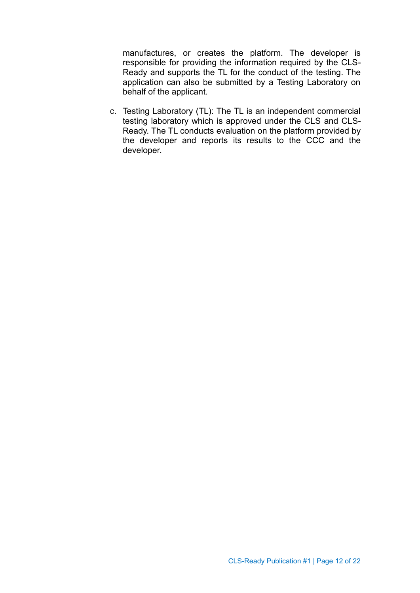manufactures, or creates the platform. The developer is responsible for providing the information required by the CLS-Ready and supports the TL for the conduct of the testing. The application can also be submitted by a Testing Laboratory on behalf of the applicant.

c. Testing Laboratory (TL): The TL is an independent commercial testing laboratory which is approved under the CLS and CLS-Ready. The TL conducts evaluation on the platform provided by the developer and reports its results to the CCC and the developer.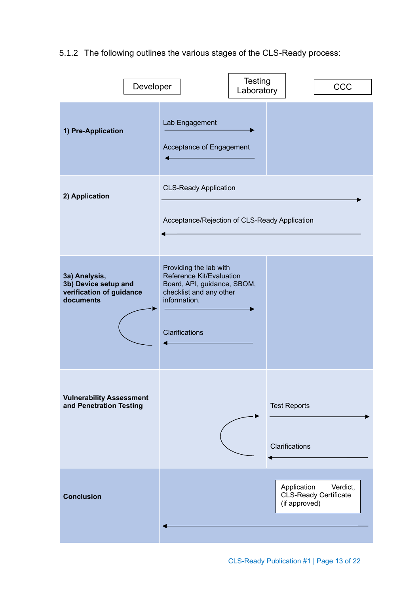5.1.2 The following outlines the various stages of the CLS-Ready process:

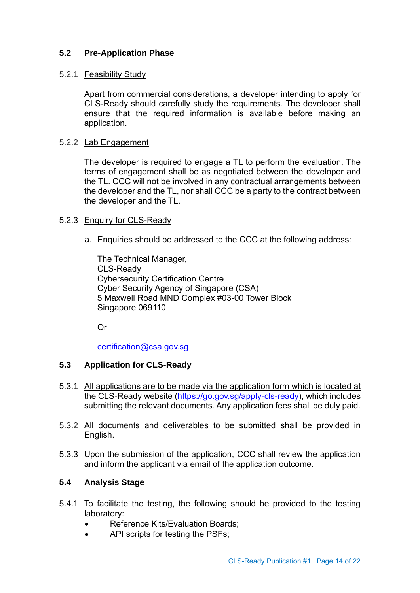#### <span id="page-13-0"></span>**5.2 Pre-Application Phase**

#### 5.2.1 Feasibility Study

Apart from commercial considerations, a developer intending to apply for CLS-Ready should carefully study the requirements. The developer shall ensure that the required information is available before making an application.

#### 5.2.2 Lab Engagement

The developer is required to engage a TL to perform the evaluation. The terms of engagement shall be as negotiated between the developer and the TL. CCC will not be involved in any contractual arrangements between the developer and the TL, nor shall CCC be a party to the contract between the developer and the TL.

#### 5.2.3 Enquiry for CLS-Ready

a. Enquiries should be addressed to the CCC at the following address:

The Technical Manager, CLS-Ready Cybersecurity Certification Centre Cyber Security Agency of Singapore (CSA) 5 Maxwell Road MND Complex #03-00 Tower Block Singapore 069110

Or

[certification@csa.gov.sg](mailto:certification@csa.gov.sg)

#### <span id="page-13-1"></span>**5.3 Application for CLS-Ready**

- 5.3.1 All applications are to be made via the application form which is located at the CLS-Ready website [\(https://go.gov.sg/apply-cls-ready\)](https://go.gov.sg/apply-cls-ready), which includes submitting the relevant documents. Any application fees shall be duly paid.
- 5.3.2 All documents and deliverables to be submitted shall be provided in English.
- 5.3.3 Upon the submission of the application, CCC shall review the application and inform the applicant via email of the application outcome.

#### <span id="page-13-2"></span>**5.4 Analysis Stage**

- 5.4.1 To facilitate the testing, the following should be provided to the testing laboratory:
	- Reference Kits/Evaluation Boards;
	- API scripts for testing the PSFs;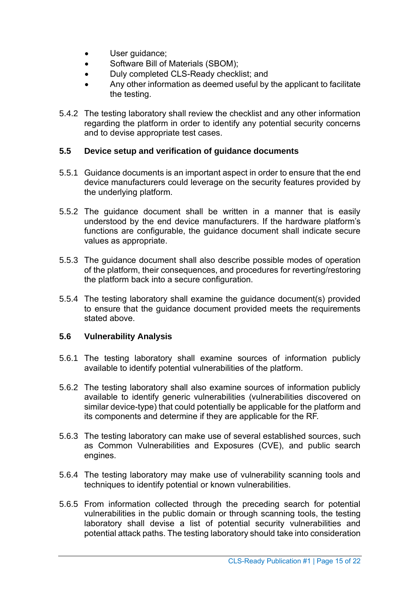- User quidance;
- Software Bill of Materials (SBOM);
- Duly completed CLS-Ready checklist; and
- Any other information as deemed useful by the applicant to facilitate the testing.
- 5.4.2 The testing laboratory shall review the checklist and any other information regarding the platform in order to identify any potential security concerns and to devise appropriate test cases.

#### <span id="page-14-0"></span>**5.5 Device setup and verification of guidance documents**

- 5.5.1 Guidance documents is an important aspect in order to ensure that the end device manufacturers could leverage on the security features provided by the underlying platform.
- 5.5.2 The guidance document shall be written in a manner that is easily understood by the end device manufacturers. If the hardware platform's functions are configurable, the guidance document shall indicate secure values as appropriate.
- 5.5.3 The guidance document shall also describe possible modes of operation of the platform, their consequences, and procedures for reverting/restoring the platform back into a secure configuration.
- 5.5.4 The testing laboratory shall examine the guidance document(s) provided to ensure that the guidance document provided meets the requirements stated above.

#### <span id="page-14-1"></span>**5.6 Vulnerability Analysis**

- 5.6.1 The testing laboratory shall examine sources of information publicly available to identify potential vulnerabilities of the platform.
- 5.6.2 The testing laboratory shall also examine sources of information publicly available to identify generic vulnerabilities (vulnerabilities discovered on similar device-type) that could potentially be applicable for the platform and its components and determine if they are applicable for the RF.
- 5.6.3 The testing laboratory can make use of several established sources, such as Common Vulnerabilities and Exposures (CVE), and public search engines.
- 5.6.4 The testing laboratory may make use of vulnerability scanning tools and techniques to identify potential or known vulnerabilities.
- 5.6.5 From information collected through the preceding search for potential vulnerabilities in the public domain or through scanning tools, the testing laboratory shall devise a list of potential security vulnerabilities and potential attack paths. The testing laboratory should take into consideration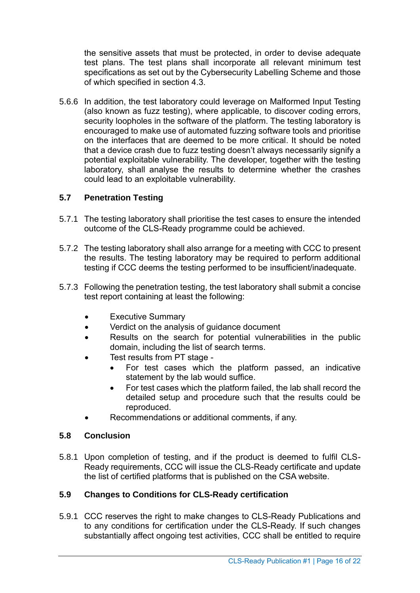the sensitive assets that must be protected, in order to devise adequate test plans. The test plans shall incorporate all relevant minimum test specifications as set out by the Cybersecurity Labelling Scheme and those of which specified in section [4.3.](#page-9-0)

5.6.6 In addition, the test laboratory could leverage on Malformed Input Testing (also known as fuzz testing), where applicable, to discover coding errors, security loopholes in the software of the platform. The testing laboratory is encouraged to make use of automated fuzzing software tools and prioritise on the interfaces that are deemed to be more critical. It should be noted that a device crash due to fuzz testing doesn't always necessarily signify a potential exploitable vulnerability. The developer, together with the testing laboratory, shall analyse the results to determine whether the crashes could lead to an exploitable vulnerability.

#### <span id="page-15-0"></span>**5.7 Penetration Testing**

- 5.7.1 The testing laboratory shall prioritise the test cases to ensure the intended outcome of the CLS-Ready programme could be achieved.
- 5.7.2 The testing laboratory shall also arrange for a meeting with CCC to present the results. The testing laboratory may be required to perform additional testing if CCC deems the testing performed to be insufficient/inadequate.
- 5.7.3 Following the penetration testing, the test laboratory shall submit a concise test report containing at least the following:
	- Executive Summary
	- Verdict on the analysis of guidance document
	- Results on the search for potential vulnerabilities in the public domain, including the list of search terms.
	- Test results from PT stage
		- For test cases which the platform passed, an indicative statement by the lab would suffice.
		- For test cases which the platform failed, the lab shall record the detailed setup and procedure such that the results could be reproduced.
	- Recommendations or additional comments, if any.

#### <span id="page-15-1"></span>**5.8 Conclusion**

5.8.1 Upon completion of testing, and if the product is deemed to fulfil CLS-Ready requirements, CCC will issue the CLS-Ready certificate and update the list of certified platforms that is published on the CSA website.

#### <span id="page-15-2"></span>**5.9 Changes to Conditions for CLS-Ready certification**

5.9.1 CCC reserves the right to make changes to CLS-Ready Publications and to any conditions for certification under the CLS-Ready. If such changes substantially affect ongoing test activities, CCC shall be entitled to require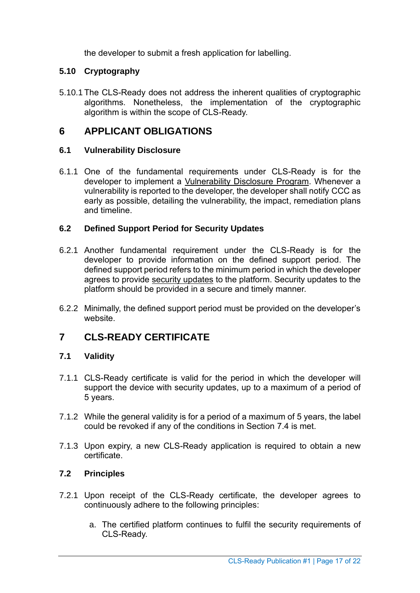the developer to submit a fresh application for labelling.

#### <span id="page-16-0"></span>**5.10 Cryptography**

5.10.1 The CLS-Ready does not address the inherent qualities of cryptographic algorithms. Nonetheless, the implementation of the cryptographic algorithm is within the scope of CLS-Ready.

### <span id="page-16-1"></span>**6 APPLICANT OBLIGATIONS**

#### <span id="page-16-2"></span>**6.1 Vulnerability Disclosure**

6.1.1 One of the fundamental requirements under CLS-Ready is for the developer to implement a Vulnerability Disclosure Program. Whenever a vulnerability is reported to the developer, the developer shall notify CCC as early as possible, detailing the vulnerability, the impact, remediation plans and timeline.

#### <span id="page-16-3"></span>**6.2 Defined Support Period for Security Updates**

- 6.2.1 Another fundamental requirement under the CLS-Ready is for the developer to provide information on the defined support period. The defined support period refers to the minimum period in which the developer agrees to provide security updates to the platform. Security updates to the platform should be provided in a secure and timely manner.
- 6.2.2 Minimally, the defined support period must be provided on the developer's website.

## <span id="page-16-4"></span>**7 CLS-READY CERTIFICATE**

#### <span id="page-16-5"></span>**7.1 Validity**

- 7.1.1 CLS-Ready certificate is valid for the period in which the developer will support the device with security updates, up to a maximum of a period of 5 years.
- 7.1.2 While the general validity is for a period of a maximum of 5 years, the label could be revoked if any of the conditions in Section [7.4](#page-17-1) is met.
- 7.1.3 Upon expiry, a new CLS-Ready application is required to obtain a new certificate.

#### <span id="page-16-6"></span>**7.2 Principles**

- 7.2.1 Upon receipt of the CLS-Ready certificate, the developer agrees to continuously adhere to the following principles:
	- a. The certified platform continues to fulfil the security requirements of CLS-Ready.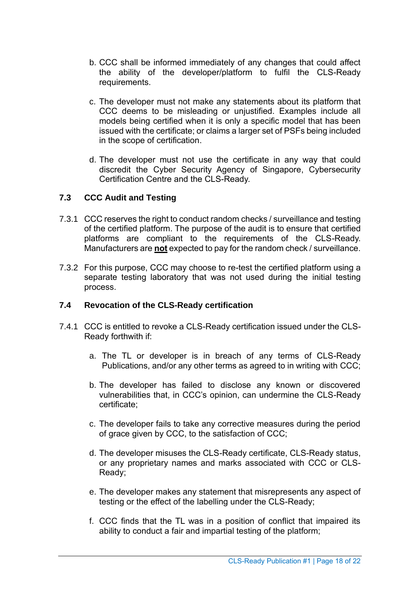- b. CCC shall be informed immediately of any changes that could affect the ability of the developer/platform to fulfil the CLS-Ready requirements.
- c. The developer must not make any statements about its platform that CCC deems to be misleading or unjustified. Examples include all models being certified when it is only a specific model that has been issued with the certificate; or claims a larger set of PSFs being included in the scope of certification.
- d. The developer must not use the certificate in any way that could discredit the Cyber Security Agency of Singapore, Cybersecurity Certification Centre and the CLS-Ready.

#### <span id="page-17-0"></span>**7.3 CCC Audit and Testing**

- 7.3.1 CCC reserves the right to conduct random checks / surveillance and testing of the certified platform. The purpose of the audit is to ensure that certified platforms are compliant to the requirements of the CLS-Ready. Manufacturers are **not** expected to pay for the random check / surveillance.
- 7.3.2 For this purpose, CCC may choose to re-test the certified platform using a separate testing laboratory that was not used during the initial testing process.

#### <span id="page-17-1"></span>**7.4 Revocation of the CLS-Ready certification**

- 7.4.1 CCC is entitled to revoke a CLS-Ready certification issued under the CLS-Ready forthwith if:
	- a. The TL or developer is in breach of any terms of CLS-Ready Publications, and/or any other terms as agreed to in writing with CCC;
	- b. The developer has failed to disclose any known or discovered vulnerabilities that, in CCC's opinion, can undermine the CLS-Ready certificate;
	- c. The developer fails to take any corrective measures during the period of grace given by CCC, to the satisfaction of CCC;
	- d. The developer misuses the CLS-Ready certificate, CLS-Ready status, or any proprietary names and marks associated with CCC or CLS-Ready;
	- e. The developer makes any statement that misrepresents any aspect of testing or the effect of the labelling under the CLS-Ready;
	- f. CCC finds that the TL was in a position of conflict that impaired its ability to conduct a fair and impartial testing of the platform;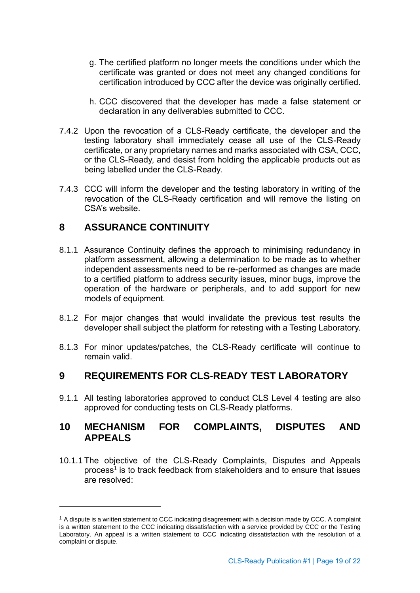- g. The certified platform no longer meets the conditions under which the certificate was granted or does not meet any changed conditions for certification introduced by CCC after the device was originally certified.
- h. CCC discovered that the developer has made a false statement or declaration in any deliverables submitted to CCC.
- 7.4.2 Upon the revocation of a CLS-Ready certificate, the developer and the testing laboratory shall immediately cease all use of the CLS-Ready certificate, or any proprietary names and marks associated with CSA, CCC, or the CLS-Ready, and desist from holding the applicable products out as being labelled under the CLS-Ready.
- 7.4.3 CCC will inform the developer and the testing laboratory in writing of the revocation of the CLS-Ready certification and will remove the listing on CSA's website.

### <span id="page-18-0"></span>**8 ASSURANCE CONTINUITY**

- 8.1.1 Assurance Continuity defines the approach to minimising redundancy in platform assessment, allowing a determination to be made as to whether independent assessments need to be re-performed as changes are made to a certified platform to address security issues, minor bugs, improve the operation of the hardware or peripherals, and to add support for new models of equipment.
- 8.1.2 For major changes that would invalidate the previous test results the developer shall subject the platform for retesting with a Testing Laboratory.
- 8.1.3 For minor updates/patches, the CLS-Ready certificate will continue to remain valid.

### <span id="page-18-1"></span>**9 REQUIREMENTS FOR CLS-READY TEST LABORATORY**

9.1.1 All testing laboratories approved to conduct CLS Level 4 testing are also approved for conducting tests on CLS-Ready platforms.

### <span id="page-18-2"></span>**10 MECHANISM FOR COMPLAINTS, DISPUTES AND APPEALS**

10.1.1 The objective of the CLS-Ready Complaints, Disputes and Appeals process<sup>1</sup> is to track feedback from stakeholders and to ensure that issues are resolved:

<sup>&</sup>lt;sup>1</sup> A dispute is a written statement to CCC indicating disagreement with a decision made by CCC. A complaint is a written statement to the CCC indicating dissatisfaction with a service provided by CCC or the Testing Laboratory. An appeal is a written statement to CCC indicating dissatisfaction with the resolution of a complaint or dispute.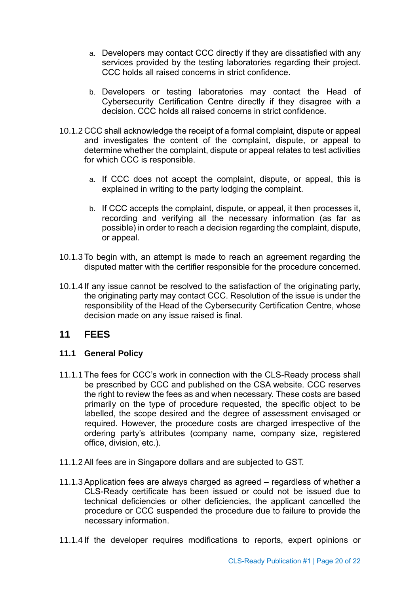- a. Developers may contact CCC directly if they are dissatisfied with any services provided by the testing laboratories regarding their project. CCC holds all raised concerns in strict confidence.
- b. Developers or testing laboratories may contact the Head of Cybersecurity Certification Centre directly if they disagree with a decision. CCC holds all raised concerns in strict confidence.
- 10.1.2 CCC shall acknowledge the receipt of a formal complaint, dispute or appeal and investigates the content of the complaint, dispute, or appeal to determine whether the complaint, dispute or appeal relates to test activities for which CCC is responsible.
	- a. If CCC does not accept the complaint, dispute, or appeal, this is explained in writing to the party lodging the complaint.
	- b. If CCC accepts the complaint, dispute, or appeal, it then processes it, recording and verifying all the necessary information (as far as possible) in order to reach a decision regarding the complaint, dispute, or appeal.
- 10.1.3 To begin with, an attempt is made to reach an agreement regarding the disputed matter with the certifier responsible for the procedure concerned.
- 10.1.4 If any issue cannot be resolved to the satisfaction of the originating party, the originating party may contact CCC. Resolution of the issue is under the responsibility of the Head of the Cybersecurity Certification Centre, whose decision made on any issue raised is final.

### <span id="page-19-0"></span>**11 FEES**

#### <span id="page-19-1"></span>**11.1 General Policy**

- 11.1.1 The fees for CCC's work in connection with the CLS-Ready process shall be prescribed by CCC and published on the CSA website. CCC reserves the right to review the fees as and when necessary. These costs are based primarily on the type of procedure requested, the specific object to be labelled, the scope desired and the degree of assessment envisaged or required. However, the procedure costs are charged irrespective of the ordering party's attributes (company name, company size, registered office, division, etc.).
- 11.1.2 All fees are in Singapore dollars and are subjected to GST.
- 11.1.3 Application fees are always charged as agreed regardless of whether a CLS-Ready certificate has been issued or could not be issued due to technical deficiencies or other deficiencies, the applicant cancelled the procedure or CCC suspended the procedure due to failure to provide the necessary information.
- 11.1.4 If the developer requires modifications to reports, expert opinions or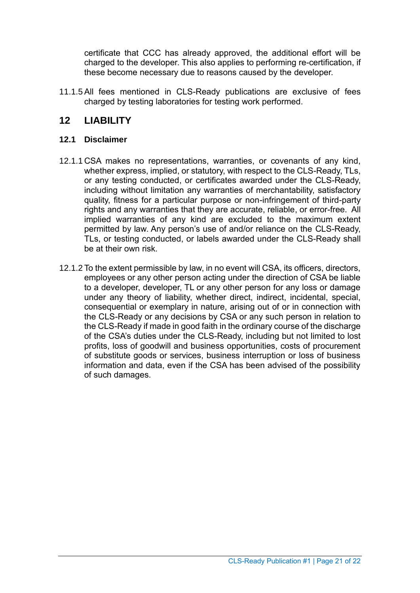certificate that CCC has already approved, the additional effort will be charged to the developer. This also applies to performing re-certification, if these become necessary due to reasons caused by the developer.

11.1.5 All fees mentioned in CLS-Ready publications are exclusive of fees charged by testing laboratories for testing work performed.

## <span id="page-20-0"></span>**12 LIABILITY**

### <span id="page-20-1"></span>**12.1 Disclaimer**

- 12.1.1 CSA makes no representations, warranties, or covenants of any kind, whether express, implied, or statutory, with respect to the CLS-Ready, TLs, or any testing conducted, or certificates awarded under the CLS-Ready, including without limitation any warranties of merchantability, satisfactory quality, fitness for a particular purpose or non-infringement of third-party rights and any warranties that they are accurate, reliable, or error-free. All implied warranties of any kind are excluded to the maximum extent permitted by law. Any person's use of and/or reliance on the CLS-Ready, TLs, or testing conducted, or labels awarded under the CLS-Ready shall be at their own risk.
- 12.1.2 To the extent permissible by law, in no event will CSA, its officers, directors, employees or any other person acting under the direction of CSA be liable to a developer, developer, TL or any other person for any loss or damage under any theory of liability, whether direct, indirect, incidental, special, consequential or exemplary in nature, arising out of or in connection with the CLS-Ready or any decisions by CSA or any such person in relation to the CLS-Ready if made in good faith in the ordinary course of the discharge of the CSA's duties under the CLS-Ready, including but not limited to lost profits, loss of goodwill and business opportunities, costs of procurement of substitute goods or services, business interruption or loss of business information and data, even if the CSA has been advised of the possibility of such damages.